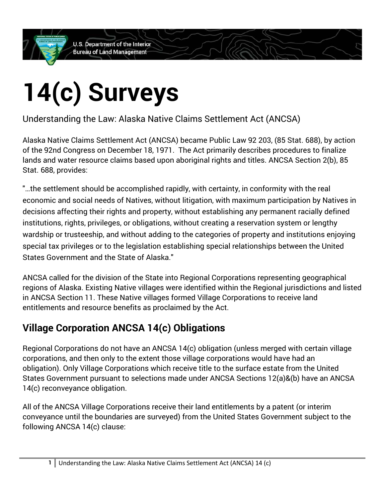**U.S. Department of the Interior Bureau of Land Management** 

## **14(c) Surveys**

Understanding the Law: Alaska Native Claims Settlement Act (ANCSA)

Alaska Native Claims Settlement Act (ANCSA) became Public Law 92 203, (85 Stat. 688), by action of the 92nd Congress on December 18, 1971. The Act primarily describes procedures to finalize lands and water resource claims based upon aboriginal rights and titles. ANCSA Section 2(b), 85 Stat. 688, provides:

"…the settlement should be accomplished rapidly, with certainty, in conformity with the real economic and social needs of Natives, without litigation, with maximum participation by Natives in decisions affecting their rights and property, without establishing any permanent racially defined institutions, rights, privileges, or obligations, without creating a reservation system or lengthy wardship or trusteeship, and without adding to the categories of property and institutions enjoying special tax privileges or to the legislation establishing special relationships between the United States Government and the State of Alaska."

ANCSA called for the division of the State into Regional Corporations representing geographical regions of Alaska. Existing Native villages were identified within the Regional jurisdictions and listed in ANCSA Section 11. These Native villages formed Village Corporations to receive land entitlements and resource benefits as proclaimed by the Act.

## **Village Corporation ANCSA 14(c) Obligations**

Regional Corporations do not have an ANCSA 14(c) obligation (unless merged with certain village corporations, and then only to the extent those village corporations would have had an obligation). Only Village Corporations which receive title to the surface estate from the United States Government pursuant to selections made under ANCSA Sections 12(a)&(b) have an ANCSA 14(c) reconveyance obligation.

All of the ANCSA Village Corporations receive their land entitlements by a patent (or interim conveyance until the boundaries are surveyed) from the United States Government subject to the following ANCSA 14(c) clause: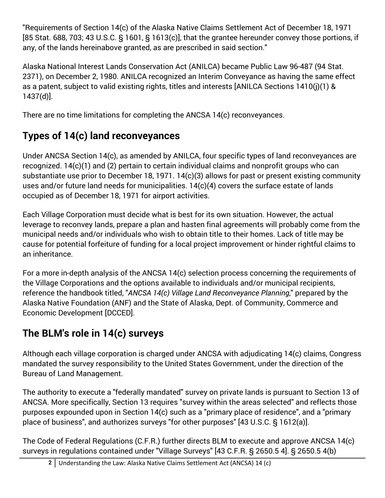"Requirements of Section 14(c) of the Alaska Native Claims Settlement Act of December 18, 1971 [85 Stat. 688, 703; 43 U.S.C. § 1601, § 1613(c)], that the grantee hereunder convey those portions, if any, of the lands hereinabove granted, as are prescribed in said section."

Alaska National Interest Lands Conservation Act (ANILCA) became Public Law 96-487 (94 Stat. 2371), on December 2, 1980. ANILCA recognized an Interim Conveyance as having the same effect as a patent, subject to valid existing rights, titles and interests [ANILCA Sections 1410(j)(1) & 1437(d)].

There are no time limitations for completing the ANCSA 14(c) reconveyances.

## **Types of 14(c) land reconveyances**

Under ANCSA Section 14(c), as amended by ANILCA, four specific types of land reconveyances are recognized. 14(c)(1) and (2) pertain to certain individual claims and nonprofit groups who can substantiate use prior to December 18, 1971. 14(c)(3) allows for past or present existing community uses and/or future land needs for municipalities. 14(c)(4) covers the surface estate of lands occupied as of December 18, 1971 for airport activities.

Each Village Corporation must decide what is best for its own situation. However, the actual leverage to reconvey lands, prepare a plan and hasten final agreements will probably come from the municipal needs and/or individuals who wish to obtain title to their homes. Lack of title may be cause for potential forfeiture of funding for a local project improvement or hinder rightful claims to an inheritance.

For a more in-depth analysis of the ANCSA 14(c) selection process concerning the requirements of the Village Corporations and the options available to individuals and/or municipal recipients, reference the handbook titled, "*ANCSA 14(c) Village Land Reconveyance Planning*," prepared by the Alaska Native Foundation (ANF) and the State of Alaska, Dept. of Community, Commerce and Economic Development [DCCED].

## **The BLM's role in 14(c) surveys**

Although each village corporation is charged under ANCSA with adjudicating 14(c) claims, Congress mandated the survey responsibility to the United States Government, under the direction of the Bureau of Land Management.

The authority to execute a "federally mandated" survey on private lands is pursuant to Section 13 of ANCSA. More specifically, Section 13 requires "survey within the areas selected" and reflects those purposes expounded upon in Section 14(c) such as a "primary place of residence", and a "primary place of business", and authorizes surveys "for other purposes" [43 U.S.C. § 1612(a)].

The Code of Federal Regulations (C.F.R.) further directs BLM to execute and approve ANCSA 14(c) surveys in regulations contained under "Village Surveys" [43 C.F.R. § 2650.5 4]. § 2650.5 4(b)